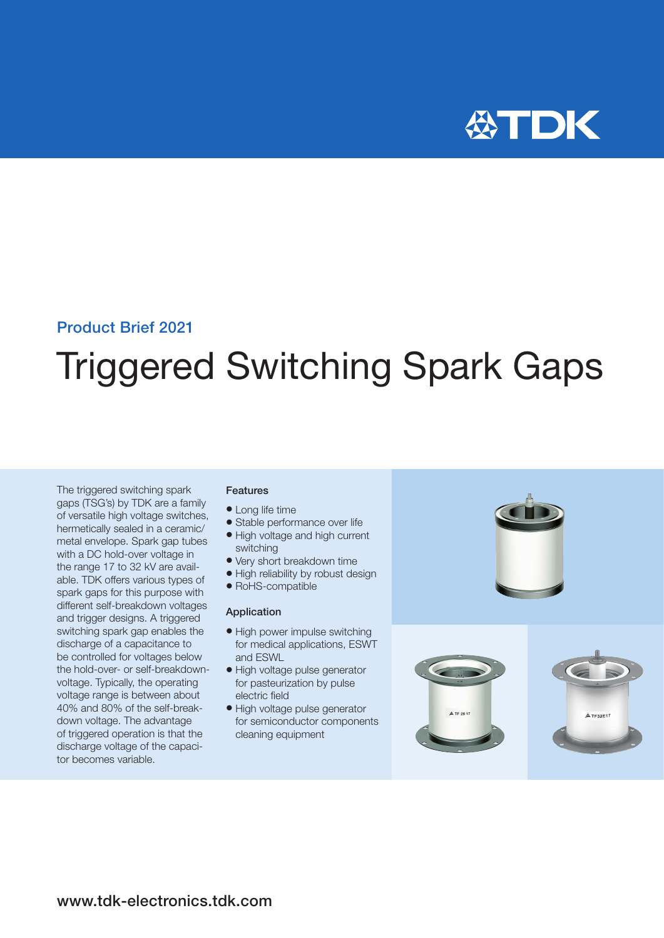

### Product Brief 2021

# Triggered Switching Spark Gaps

The triggered switching spark gaps (TSG's) by TDK are a family of versatile high voltage switches, hermetically sealed in a ceramic/ metal envelope. Spark gap tubes with a DC hold-over voltage in the range 17 to 32 kV are available. TDK offers various types of spark gaps for this purpose with different self-breakdown voltages and trigger designs. A triggered switching spark gap enables the discharge of a capacitance to be controlled for voltages below the hold-over- or self-breakdownvoltage. Typically, the operating voltage range is between about 40% and 80% of the self-breakdown voltage. The advantage of triggered operation is that the discharge voltage of the capacitor becomes variable.

#### Features

- Long life time
- Stable performance over life
- High voltage and high current switching
- Very short breakdown time
- High reliability by robust design
- RoHS-compatible

#### Application

- High power impulse switching for medical applications, ESWT and ESWL
- · High voltage pulse generator for pasteurization by pulse electric field
- · High voltage pulse generator for semiconductor components cleaning equipment



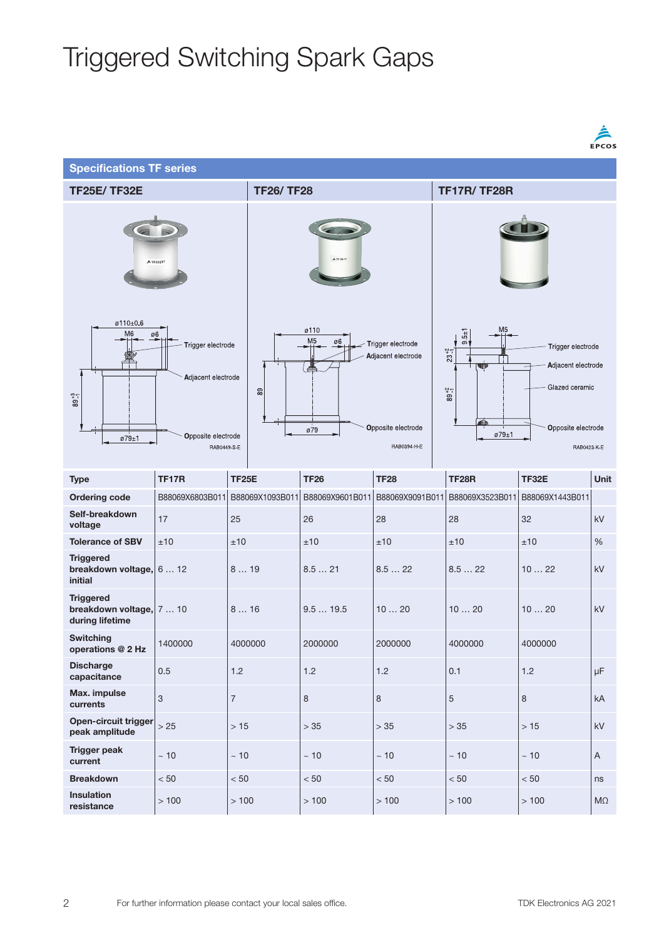|                                                                 |                                                                                    |                                                                                                                           |                 |                 |                                                                                                                                                                                                   |                 | <b>EPCOS</b>           |  |  |
|-----------------------------------------------------------------|------------------------------------------------------------------------------------|---------------------------------------------------------------------------------------------------------------------------|-----------------|-----------------|---------------------------------------------------------------------------------------------------------------------------------------------------------------------------------------------------|-----------------|------------------------|--|--|
| <b>Specifications TF series</b>                                 |                                                                                    |                                                                                                                           |                 |                 |                                                                                                                                                                                                   |                 |                        |  |  |
| <b>TF25E/ TF32E</b>                                             |                                                                                    | <b>TF26/TF28</b>                                                                                                          |                 |                 | <b>TF17R/TF28R</b>                                                                                                                                                                                |                 |                        |  |  |
| A TF32E17                                                       |                                                                                    | A TF 28 17                                                                                                                |                 |                 |                                                                                                                                                                                                   |                 |                        |  |  |
| ø110±0.6<br>M <sub>6</sub><br>$89^{+3}_{-1}$<br>ø79±1           | ø6<br>Trigger electrode<br>Adjacent electrode<br>Opposite electrode<br>RAB0449-S-E | ø110<br>M <sub>5</sub><br>ø6<br>Trigger electrode<br>Adjacent electrode<br>89<br>Opposite electrode<br>ø79<br>RAB0394-H-E |                 |                 | M <sub>5</sub><br>$-5 + 1$<br>$\infty$<br>Trigger electrode<br>$23^{+2}_{-1}$<br>Adjacent electrode<br>U<br>Glazed ceramic<br>$89^{+2}_{-1}$<br>4Û)<br>Opposite electrode<br>ø79±1<br>RAB0423 K E |                 |                        |  |  |
| <b>Type</b>                                                     | <b>TF17R</b>                                                                       | <b>TF25E</b>                                                                                                              | <b>TF26</b>     | <b>TF28</b>     | <b>TF28R</b>                                                                                                                                                                                      | TF32E           | Unit                   |  |  |
| <b>Ordering code</b>                                            | B88069X6803B011                                                                    | B88069X1093B011                                                                                                           | B88069X9601B011 | B88069X9091B011 | B88069X3523B011                                                                                                                                                                                   | B88069X1443B011 |                        |  |  |
| Self-breakdown<br>voltage                                       | 17                                                                                 | 25                                                                                                                        | 26              | 28              | 28                                                                                                                                                                                                | 32              | kV                     |  |  |
| <b>Tolerance of SBV</b>                                         | ±10                                                                                | ±10                                                                                                                       | ±10             | ±10             | ±10                                                                                                                                                                                               | ±10             | %                      |  |  |
| <b>Triggered</b><br>breakdown voltage, 6  12<br>initial         |                                                                                    | 819                                                                                                                       | 8.521           | 8.522           | 8.522                                                                                                                                                                                             | 1022            | kV                     |  |  |
| <b>Triggered</b><br>breakdown voltage, 7  10<br>during lifetime |                                                                                    | 816                                                                                                                       | 9.519.5         | 1020            | 1020                                                                                                                                                                                              | 1020            | kV                     |  |  |
| <b>Switching</b><br>operations @ 2 Hz                           | 1400000                                                                            | 4000000                                                                                                                   | 2000000         | 2000000         | 4000000                                                                                                                                                                                           | 4000000         |                        |  |  |
| <b>Discharge</b><br>capacitance                                 | 0.5                                                                                | 1.2                                                                                                                       | 1.2             | 1.2             | 0.1                                                                                                                                                                                               | 1.2             | $\mu$ F                |  |  |
| Max. impulse<br>currents                                        | $\ensuremath{\mathsf{3}}$                                                          | $\overline{\mathcal{I}}$                                                                                                  | 8               | $\,8\,$         | $\sqrt{5}$                                                                                                                                                                                        | $\,8\,$         | kA                     |  |  |
| Open-circuit trigger<br>peak amplitude                          | >25                                                                                | $>15$                                                                                                                     | $>35$           | $>35$           | $>35$                                                                                                                                                                                             | >15             | $\mathsf{k}\mathsf{V}$ |  |  |
| <b>Trigger peak</b><br>current                                  | $\sim 10$                                                                          | $\sim 10$                                                                                                                 | $\sim 10$       | $\sim 10$       | $\sim 10$                                                                                                                                                                                         | $\sim 10$       | $\mathsf A$            |  |  |
| <b>Breakdown</b>                                                | $< 50$                                                                             | < 50                                                                                                                      | $< 50$          | < 50            | $< 50\,$                                                                                                                                                                                          | $< 50$          | ns                     |  |  |
| Insulation<br>resistance                                        | >100                                                                               | > 100                                                                                                                     | >100            | >100            | > 100                                                                                                                                                                                             | >100            | $M\Omega$              |  |  |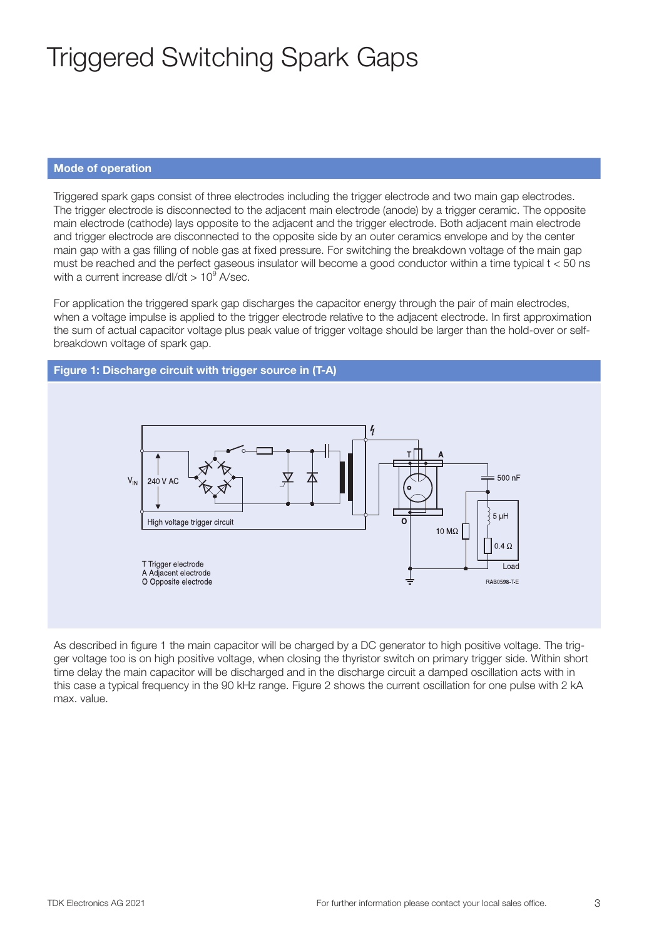#### Mode of operation

Triggered spark gaps consist of three electrodes including the trigger electrode and two main gap electrodes. The trigger electrode is disconnected to the adjacent main electrode (anode) by a trigger ceramic. The opposite main electrode (cathode) lays opposite to the adjacent and the trigger electrode. Both adjacent main electrode and trigger electrode are disconnected to the opposite side by an outer ceramics envelope and by the center main gap with a gas filling of noble gas at fixed pressure. For switching the breakdown voltage of the main gap must be reached and the perfect gaseous insulator will become a good conductor within a time typical t < 50 ns with a current increase dl/dt  $> 10^9$  A/sec.

For application the triggered spark gap discharges the capacitor energy through the pair of main electrodes, when a voltage impulse is applied to the trigger electrode relative to the adjacent electrode. In first approximation the sum of actual capacitor voltage plus peak value of trigger voltage should be larger than the hold-over or selfbreakdown voltage of spark gap.



As described in figure 1 the main capacitor will be charged by a DC generator to high positive voltage. The trigger voltage too is on high positive voltage, when closing the thyristor switch on primary trigger side. Within short time delay the main capacitor will be discharged and in the discharge circuit a damped oscillation acts with in this case a typical frequency in the 90 kHz range. Figure 2 shows the current oscillation for one pulse with 2 kA max. value.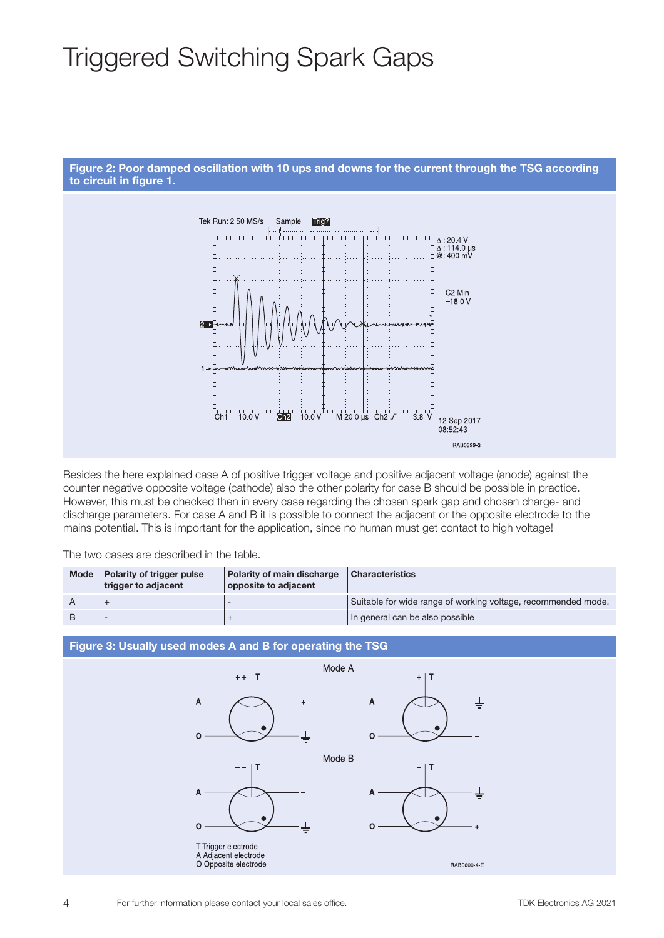



Besides the here explained case A of positive trigger voltage and positive adjacent voltage (anode) against the counter negative opposite voltage (cathode) also the other polarity for case B should be possible in practice. However, this must be checked then in every case regarding the chosen spark gap and chosen charge- and discharge parameters. For case A and B it is possible to connect the adjacent or the opposite electrode to the mains potential. This is important for the application, since no human must get contact to high voltage!

The two cases are described in the table.

| <b>Mode</b> | Polarity of trigger pulse<br>trigger to adjacent | Polarity of main discharge<br>opposite to adjacent | <b>Characteristics</b>                                        |
|-------------|--------------------------------------------------|----------------------------------------------------|---------------------------------------------------------------|
|             |                                                  |                                                    | Suitable for wide range of working voltage, recommended mode. |
|             |                                                  |                                                    | In general can be also possible                               |

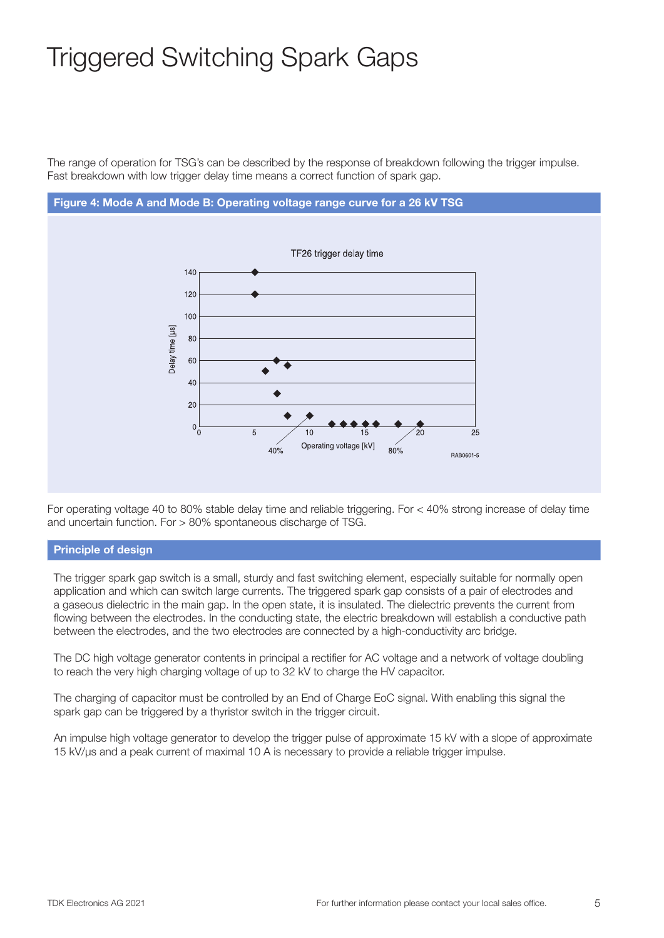The range of operation for TSG's can be described by the response of breakdown following the trigger impulse. Fast breakdown with low trigger delay time means a correct function of spark gap.



For operating voltage 40 to 80% stable delay time and reliable triggering. For < 40% strong increase of delay time and uncertain function. For > 80% spontaneous discharge of TSG.

#### Principle of design

The trigger spark gap switch is a small, sturdy and fast switching element, especially suitable for normally open application and which can switch large currents. The triggered spark gap consists of a pair of electrodes and a gaseous dielectric in the main gap. In the open state, it is insulated. The dielectric prevents the current from flowing between the electrodes. In the conducting state, the electric breakdown will establish a conductive path between the electrodes, and the two electrodes are connected by a high-conductivity arc bridge.

The DC high voltage generator contents in principal a rectifier for AC voltage and a network of voltage doubling to reach the very high charging voltage of up to 32 kV to charge the HV capacitor.

The charging of capacitor must be controlled by an End of Charge EoC signal. With enabling this signal the spark gap can be triggered by a thyristor switch in the trigger circuit.

An impulse high voltage generator to develop the trigger pulse of approximate 15 kV with a slope of approximate 15 kV/µs and a peak current of maximal 10 A is necessary to provide a reliable trigger impulse.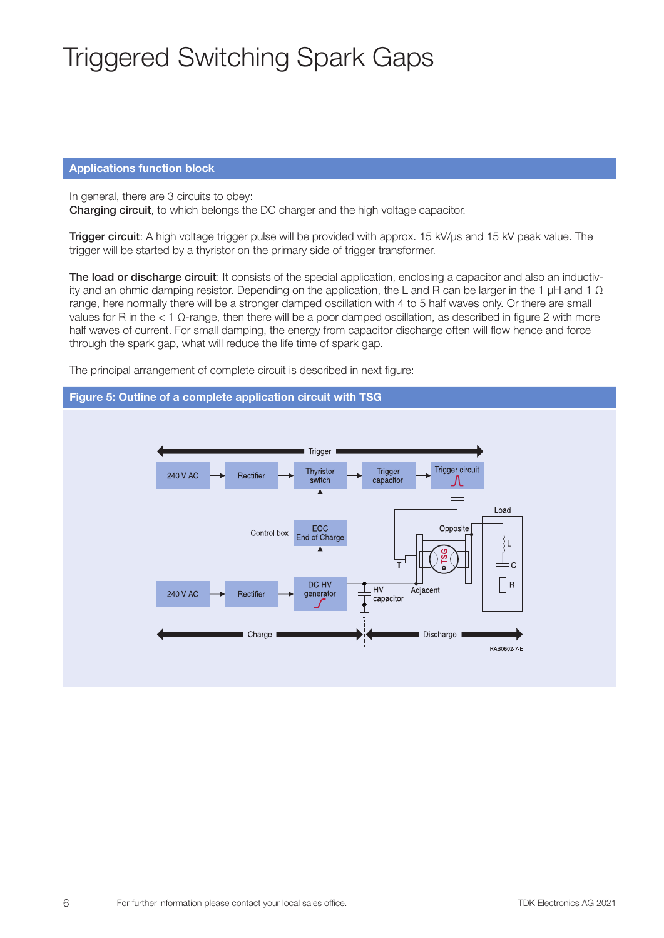#### Applications function block

In general, there are 3 circuits to obey: Charging circuit, to which belongs the DC charger and the high voltage capacitor.

Trigger circuit: A high voltage trigger pulse will be provided with approx. 15 kV/µs and 15 kV peak value. The trigger will be started by a thyristor on the primary side of trigger transformer.

The load or discharge circuit: It consists of the special application, enclosing a capacitor and also an inductivity and an ohmic damping resistor. Depending on the application, the L and R can be larger in the 1  $\mu$ H and 1  $\Omega$ range, here normally there will be a stronger damped oscillation with 4 to 5 half waves only. Or there are small values for R in the < 1 Ω-range, then there will be a poor damped oscillation, as described in figure 2 with more half waves of current. For small damping, the energy from capacitor discharge often will flow hence and force through the spark gap, what will reduce the life time of spark gap.

The principal arrangement of complete circuit is described in next figure:

#### Figure 5: Outline of a complete application circuit with TSG

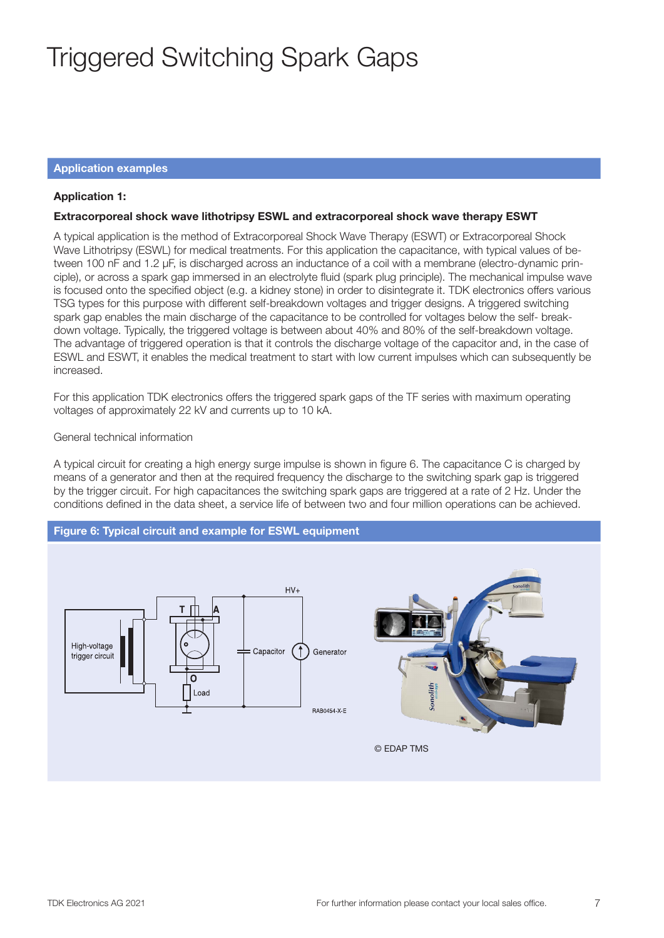#### Application examples

#### Application 1:

#### Extracorporeal shock wave lithotripsy ESWL and extracorporeal shock wave therapy ESWT

A typical application is the method of Extracorporeal Shock Wave Therapy (ESWT) or Extracorporeal Shock Wave Lithotripsy (ESWL) for medical treatments. For this application the capacitance, with typical values of between 100 nF and 1.2 µF, is discharged across an inductance of a coil with a membrane (electro-dynamic principle), or across a spark gap immersed in an electrolyte fluid (spark plug principle). The mechanical impulse wave is focused onto the specified object (e.g. a kidney stone) in order to disintegrate it. TDK electronics offers various TSG types for this purpose with different self-breakdown voltages and trigger designs. A triggered switching spark gap enables the main discharge of the capacitance to be controlled for voltages below the self- breakdown voltage. Typically, the triggered voltage is between about 40% and 80% of the self-breakdown voltage. The advantage of triggered operation is that it controls the discharge voltage of the capacitor and, in the case of ESWL and ESWT, it enables the medical treatment to start with low current impulses which can subsequently be increased.

For this application TDK electronics offers the triggered spark gaps of the TF series with maximum operating voltages of approximately 22 kV and currents up to 10 kA.

#### General technical information

A typical circuit for creating a high energy surge impulse is shown in figure 6. The capacitance C is charged by means of a generator and then at the required frequency the discharge to the switching spark gap is triggered by the trigger circuit. For high capacitances the switching spark gaps are triggered at a rate of 2 Hz. Under the conditions defined in the data sheet, a service life of between two and four million operations can be achieved.

#### Figure 6: Typical circuit and example for ESWL equipment

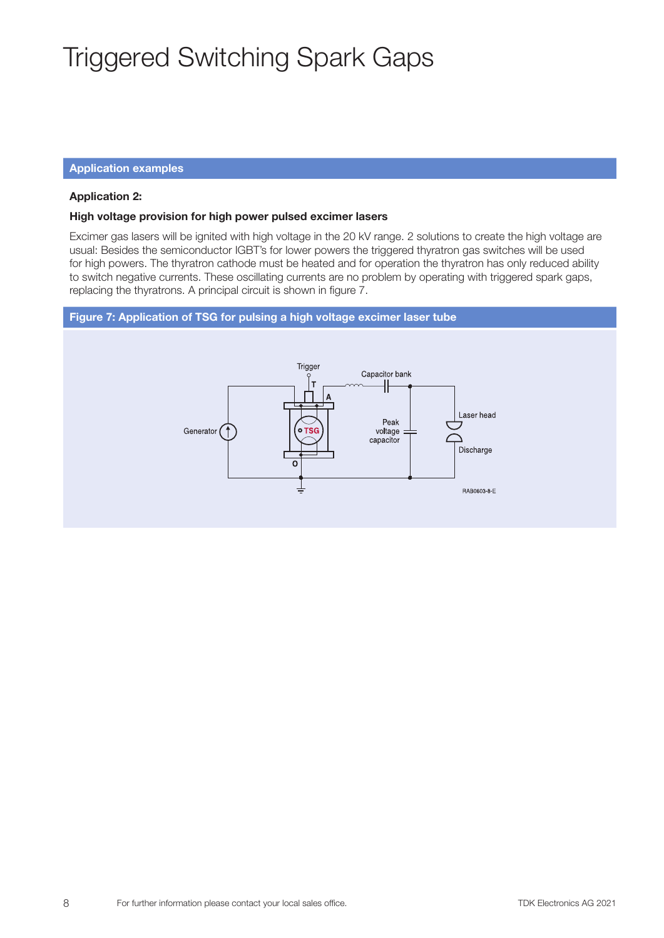#### Application examples

#### Application 2:

#### High voltage provision for high power pulsed excimer lasers

Excimer gas lasers will be ignited with high voltage in the 20 kV range. 2 solutions to create the high voltage are usual: Besides the semiconductor IGBT's for lower powers the triggered thyratron gas switches will be used for high powers. The thyratron cathode must be heated and for operation the thyratron has only reduced ability to switch negative currents. These oscillating currents are no problem by operating with triggered spark gaps, replacing the thyratrons. A principal circuit is shown in figure 7.

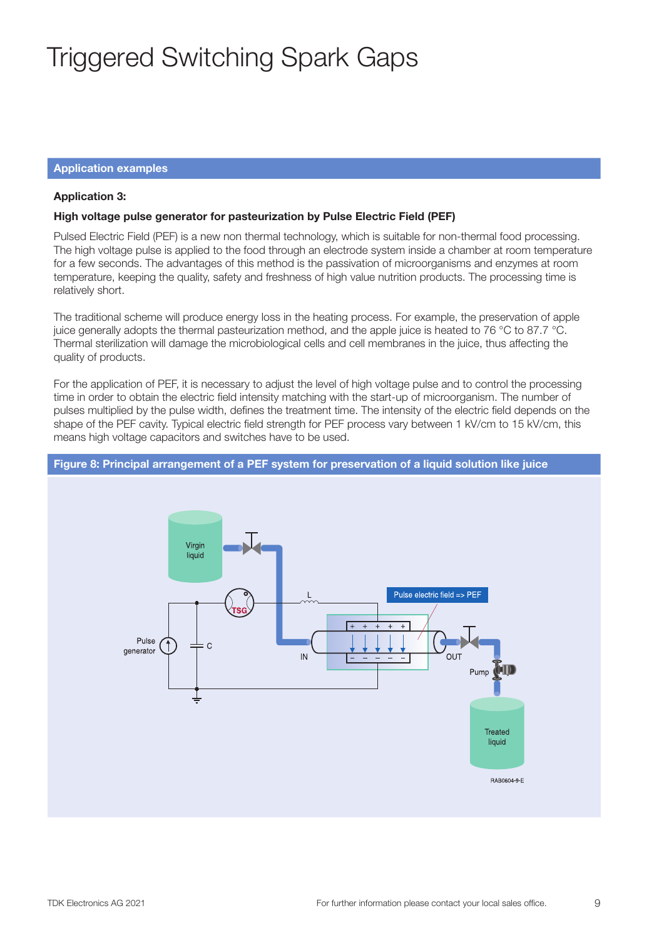#### Application examples

#### Application 3:

#### High voltage pulse generator for pasteurization by Pulse Electric Field (PEF)

Pulsed Electric Field (PEF) is a new non thermal technology, which is suitable for non-thermal food processing. The high voltage pulse is applied to the food through an electrode system inside a chamber at room temperature for a few seconds. The advantages of this method is the passivation of microorganisms and enzymes at room temperature, keeping the quality, safety and freshness of high value nutrition products. The processing time is relatively short.

The traditional scheme will produce energy loss in the heating process. For example, the preservation of apple juice generally adopts the thermal pasteurization method, and the apple juice is heated to 76 °C to 87.7 °C. Thermal sterilization will damage the microbiological cells and cell membranes in the juice, thus affecting the quality of products.

For the application of PEF, it is necessary to adjust the level of high voltage pulse and to control the processing time in order to obtain the electric field intensity matching with the start-up of microorganism. The number of pulses multiplied by the pulse width, defines the treatment time. The intensity of the electric field depends on the shape of the PEF cavity. Typical electric field strength for PEF process vary between 1 kV/cm to 15 kV/cm, this means high voltage capacitors and switches have to be used.

#### Figure 8: Principal arrangement of a PEF system for preservation of a liquid solution like juice